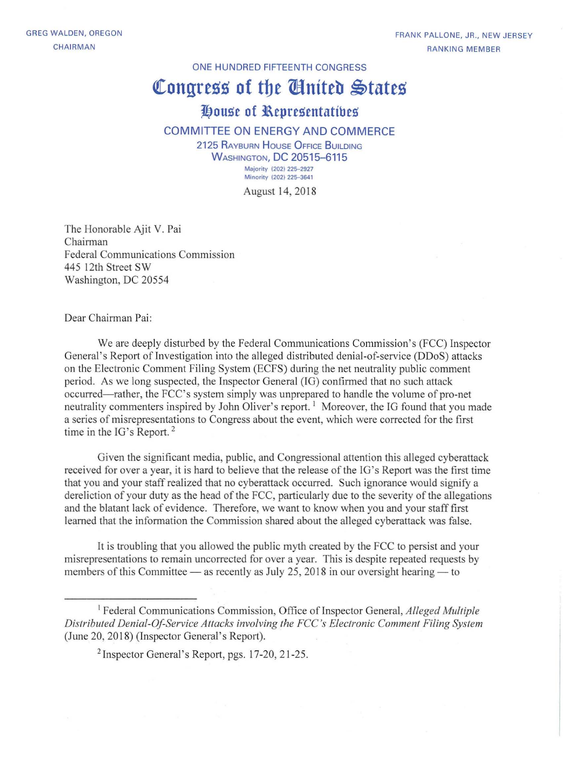ONE HUNDRED FIFTEENTH CONGRESS

## **Congress of the Cinited States**

## **7!.Jouse of l\epresentatibes**

## COMMITTEE ON ENERGY AND COMMERCE

2125 RAYBURN HOUSE OFFICE BUILDING **WASHINGTON, DC 20515-6115 Majority (202) 225-2927 Minority (202) 225-3641**

August 14, 2018

The Honorable Ajit V. Pai Chairman Federal Communications Commission 445 12th Street SW Washington, DC 20554

Dear Chairman Pai:

We are deeply disturbed by the Federal Communications Commission's (FCC) Inspector General's Report of Investigation into the alleged distributed denial-of-service (DDoS) attacks on the Electronic Comment Filing System (ECFS) during the net neutrality public comment period. As we long suspected, the Inspector General (IG) confitmed that no such attack occurred-rather, the FCC's system simply was unprepared to handle the volume of pro-net neutrality commenters inspired by John Oliver's report.<sup>1</sup> Moreover, the IG found that you made a series of misrepresentations to Congress about the event, which were corrected for the first time in the IG's Report.<sup>2</sup>

Given the significant media, public, and Congressional attention this alleged cyberattack received for over a year, it is hard to believe that the release ofthe IO's Report was the first time that you and your staff realized that no cyberattack occurred. Such ignorance would signify a dereliction of your duty as the head of the FCC, particularly due to the severity of the allegations and the blatant lack of evidence. Therefore, we want to know when you and your stafffirst learned that the information the Commission shared about the alleged cyberattack was false.

It is troubling that you allowed the public myth created by the FCC to persist and your misrepresentations to remain uncorrected for over a year. This is despite repeated requests by members of this Committee  $-$  as recently as July 25, 2018 in our oversight hearing  $-$  to

<sup>&</sup>lt;sup>1</sup> Federal Communications Commission, Office of Inspector General, *Alleged Multiple Distributed Denial-Ol-Service AI/acks involving the FCC's Electronic Comment Filing System* (June 20, 2018) (Inspector General's Report).

<sup>2</sup> Inspector General's Report, pgs. 17-20, 21-25.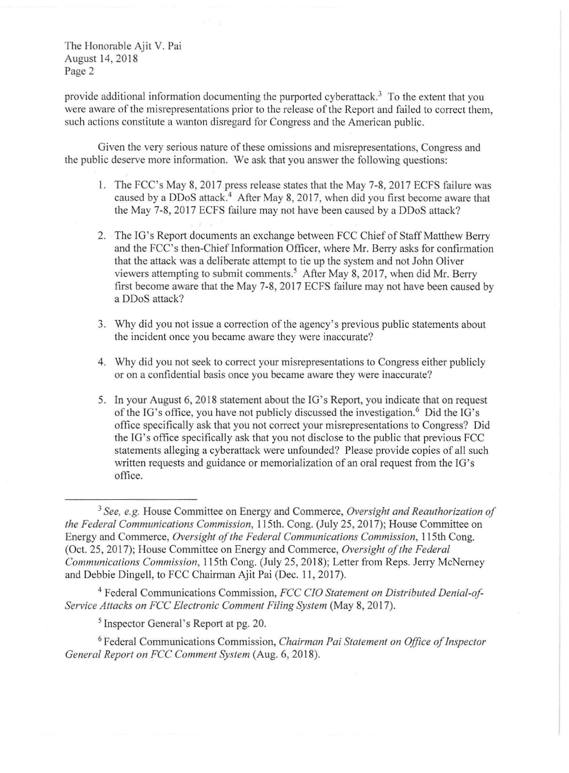The Honorable Ajit V. Pai August 14,2018 Page 2

provide additional information documenting the purported cyberattack.<sup>3</sup> To the extent that you were aware of the misrepresentations prior to the release of the Report and failed to correct them, such actions constitute a wanton disregard for Congress and the American public.

Given the very serious nature of these omissions and misrepresentations, Congress and the public deserve more information. We ask that you answer the following questions:

- I. The FCC's May 8, 2017 press release states that the May 7-8, 2017 ECFS failure was caused by a DDoS attack.<sup>4</sup> After May 8, 2017, when did you first become aware that the May 7-8, 2017 ECFS failure may not have been caused by a DDoS attack?
- 2. The IG's Report documents an exchange between FCC Chief of Staff Matthew Berry and the FCC's then-Chief Information Officer, where Mr. Berry asks for confirmation that the attack was a deliberate attempt to tie up the system and not John Oliver viewers attempting to submit comments.' After May 8, 2017, when did Mr. Berry first become aware that the May 7-8, 2017 ECFS failure may not have been caused by a DDoS attack?
- 3. Why did you not issue a correction of the agency's previous public statements about the incident once you became aware they were inaccurate?
- 4. Why did you not seek to correct your misrepresentations to Congress either publicly or on a confidential basis once you became aware they were inaccurate?
- 5. In your August 6, 2018 statement about the IG's Report, you indicate that on request of the IG's office, you have not publicly discussed the investigation.<sup>6</sup> Did the IG's office specifically ask that you not correct your misrepresentations to Congress? Did the IG's office specifically ask that you not disclose to the public that previous FCC statements alleging a cyberattack were unfounded? Please provide copies of all such written requests and guidance or memorialization of an oral request from the IG's office.

<sup>4</sup> Federal Communications Commission, *FCC CIO Statement on Distributed Denial-of-Service Attacks on FCC Electronic Comment Filing System* (May 8, 2017).

<sup>5</sup> Inspector General's Report at pg. 20.

<sup>6</sup> Federal Communications Commission, *Chairman Pai Statement on Office ofInspector General Report on FCC Comment System* (Aug. 6, 2018).

<sup>3</sup> *See, e.g.* House Committee on Energy and Commerce, *Oversight and Reauthorization of the Federal Communications Commission,* 115th. Cong. (July 25, 2017); House Committee on Energy and Commerce, *Oversight of the Federal Communications Commission*, 115th Cong. (Oct. 25, 2017); House Committee on Energy and Commerce, *Oversight ofthe Federal Communications Commission, 115th Cong. (July 25, 2018); Letter from Reps. Jerry McNerney* and Debbie Dingell, to FCC Chairman Ajit Pai (Dec. 11, 2017).